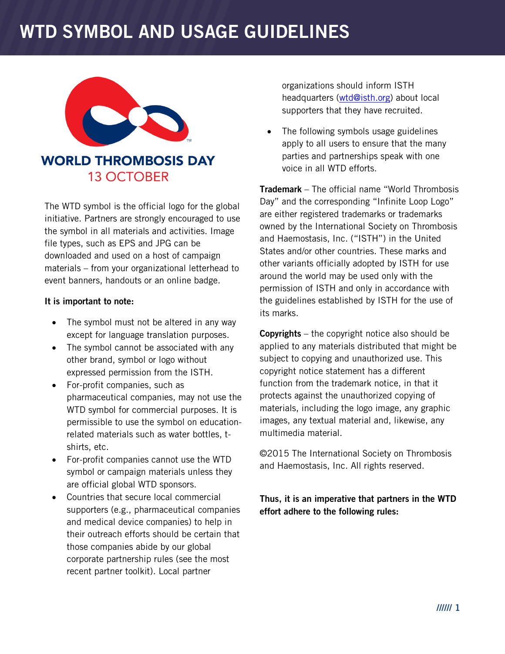# **WTD SYMBOL AND USAGE GUIDELINES**



## **WORLD THROMBOSIS DAY 13 OCTOBER**

The WTD symbol is the official logo for the global initiative. Partners are strongly encouraged to use the symbol in all materials and activities. Image file types, such as EPS and JPG can be downloaded and used on a host of campaign materials – from your organizational letterhead to event banners, handouts or an online badge.

#### **It is important to note:**

- The symbol must not be altered in any way except for language translation purposes.
- The symbol cannot be associated with any other brand, symbol or logo without expressed permission from the ISTH.
- For-profit companies, such as pharmaceutical companies, may not use the WTD symbol for commercial purposes. It is permissible to use the symbol on educationrelated materials such as water bottles, tshirts, etc.
- For-profit companies cannot use the WTD symbol or campaign materials unless they are official global WTD sponsors.
- Countries that secure local commercial supporters (e.g., pharmaceutical companies and medical device companies) to help in their outreach efforts should be certain that those companies abide by our global corporate partnership rules (see the most recent partner toolkit). Local partner

organizations should inform ISTH headquarters [\(wtd@isth.org\)](mailto:wtd@isth.org) about local supporters that they have recruited.

 The following symbols usage guidelines apply to all users to ensure that the many parties and partnerships speak with one voice in all WTD efforts.

**Trademark** – The official name "World Thrombosis Day" and the corresponding "Infinite Loop Logo" are either registered trademarks or trademarks owned by the International Society on Thrombosis and Haemostasis, Inc. ("ISTH") in the United States and/or other countries. These marks and other variants officially adopted by ISTH for use around the world may be used only with the permission of ISTH and only in accordance with the guidelines established by ISTH for the use of its marks.

**Copyrights** – the copyright notice also should be applied to any materials distributed that might be subject to copying and unauthorized use. This copyright notice statement has a different function from the trademark notice, in that it protects against the unauthorized copying of materials, including the logo image, any graphic images, any textual material and, likewise, any multimedia material.

©2015 The International Society on Thrombosis and Haemostasis, Inc. All rights reserved.

**Thus, it is an imperative that partners in the WTD effort adhere to the following rules:**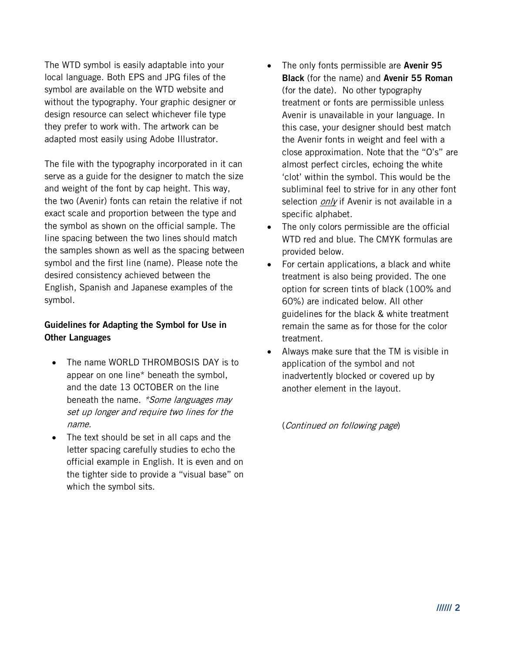The WTD symbol is easily adaptable into your local language. Both EPS and JPG files of the symbol are available on the WTD website and without the typography. Your graphic designer or design resource can select whichever file type they prefer to work with. The artwork can be adapted most easily using Adobe Illustrator.

The file with the typography incorporated in it can serve as a guide for the designer to match the size and weight of the font by cap height. This way, the two (Avenir) fonts can retain the relative if not exact scale and proportion between the type and the symbol as shown on the official sample. The line spacing between the two lines should match the samples shown as well as the spacing between symbol and the first line (name). Please note the desired consistency achieved between the English, Spanish and Japanese examples of the symbol.

### **Guidelines for Adapting the Symbol for Use in Other Languages**

- The name WORLD THROMBOSIS DAY is to appear on one line\* beneath the symbol, and the date 13 OCTOBER on the line beneath the name. \*Some languages may set up longer and require two lines for the name.
- The text should be set in all caps and the letter spacing carefully studies to echo the official example in English. It is even and on the tighter side to provide a "visual base" on which the symbol sits.
- The only fonts permissible are **Avenir 95 Black** (for the name) and **Avenir 55 Roman** (for the date). No other typography treatment or fonts are permissible unless Avenir is unavailable in your language. In this case, your designer should best match the Avenir fonts in weight and feel with a close approximation. Note that the "O's" are almost perfect circles, echoing the white 'clot' within the symbol. This would be the subliminal feel to strive for in any other font selection *only* if Avenir is not available in a specific alphabet.
- The only colors permissible are the official WTD red and blue. The CMYK formulas are provided below.
- For certain applications, a black and white treatment is also being provided. The one option for screen tints of black (100% and 60%) are indicated below. All other guidelines for the black & white treatment remain the same as for those for the color treatment.
- Always make sure that the TM is visible in application of the symbol and not inadvertently blocked or covered up by another element in the layout.

(Continued on following page)